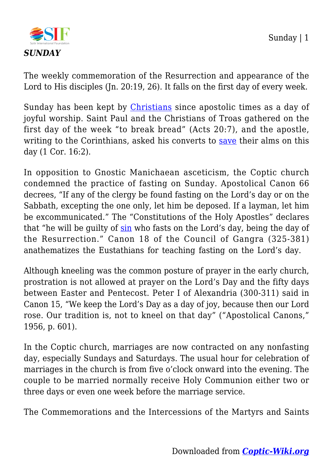

The weekly commemoration of the Resurrection and appearance of the Lord to His disciples (Jn. 20:19, 26). It falls on the first day of every week.

Sunday has been kept by *[Christians](https://coptic-wiki.org/tag/christians)* since apostolic times as a day of joyful worship. Saint Paul and the Christians of Troas gathered on the first day of the week "to break bread" (Acts 20:7), and the apostle, writing to the Corinthians, asked his converts to [save](https://coptic-wiki.org/tag/save) their alms on this day (1 Cor. 16:2).

In opposition to Gnostic Manichaean asceticism, the Coptic church condemned the practice of fasting on Sunday. Apostolical Canon 66 decrees, "If any of the clergy be found fasting on the Lord's day or on the Sabbath, excepting the one only, let him be deposed. If a layman, let him be excommunicated." The "Constitutions of the Holy Apostles" declares that "he will be guilty of  $\sin$  who fasts on the Lord's day, being the day of the Resurrection." Canon 18 of the Council of Gangra (325-381) anathematizes the Eustathians for teaching fasting on the Lord's day.

Although kneeling was the common posture of prayer in the early church, prostration is not allowed at prayer on the Lord's Day and the fifty days between Easter and Pentecost. Peter I of Alexandria (300-311) said in Canon 15, "We keep the Lord's Day as a day of joy, because then our Lord rose. Our tradition is, not to kneel on that day" ("Apostolical Canons," 1956, p. 601).

In the Coptic church, marriages are now contracted on any nonfasting day, especially Sundays and Saturdays. The usual hour for celebration of marriages in the church is from five o'clock onward into the evening. The couple to be married normally receive Holy Communion either two or three days or even one week before the marriage service.

The Commemorations and the Intercessions of the Martyrs and Saints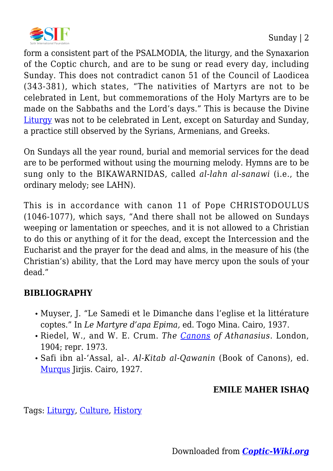

form a consistent part of the PSALMODIA, the liturgy, and the Synaxarion of the Coptic church, and are to be sung or read every day, including Sunday. This does not contradict canon 51 of the Council of Laodicea (343-381), which states, "The nativities of Martyrs are not to be celebrated in Lent, but commemorations of the Holy Martyrs are to be made on the Sabbaths and the Lord's days." This is because the Divine [Liturgy](https://coptic-wiki.org/tag/liturgy) was not to be celebrated in Lent, except on Saturday and Sunday, a practice still observed by the Syrians, Armenians, and Greeks.

On Sundays all the year round, burial and memorial services for the dead are to be performed without using the mourning melody. Hymns are to be sung only to the BIKAWARNIDAS, called *al-lahn al-sanawi* (i.e., the ordinary melody; see LAHN).

This is in accordance with canon 11 of Pope CHRISTODOULUS (1046-1077), which says, "And there shall not be allowed on Sundays weeping or lamentation or speeches, and it is not allowed to a Christian to do this or anything of it for the dead, except the Intercession and the Eucharist and the prayer for the dead and alms, in the measure of his (the Christian's) ability, that the Lord may have mercy upon the souls of your dead."

## **BIBLIOGRAPHY**

- Muyser, J. "Le Samedi et le Dimanche dans l'eglise et la littérature coptes." In *Le Martyre d'apa Epima,* ed. Togo Mina. Cairo, 1937.
- Riedel, W., and W. E. Crum. *The [Canons](https://coptic-wiki.org/tag/canons) of Athanasius.* London, 1904; repr. 1973.
- Safi ibn al-'Assal, al-. *Al-Kitab al-Qawanin* (Book of Canons), ed. [Murqus](https://coptic-wiki.org/tag/murqus) Jirjis. Cairo, 1927.

## **EMILE MAHER ISHAQ**

Tags: [Liturgy](https://coptic-wiki.org/category/liturgy), [Culture,](https://coptic-wiki.org/category/culture) [History](https://coptic-wiki.org/category/history)